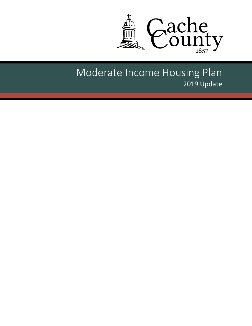

# Moderate Income Housing Plan 2019 Update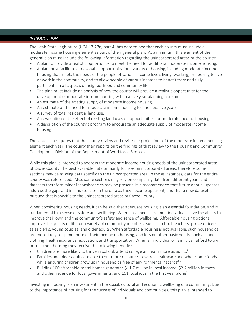#### *INTRODUCTION*

The Utah State Legislature (UCA 17‐27a, part 4) has determined that each county must include a moderate income housing element as part of their general plan. At a minimum, this element of the general plan must include the following information regarding the unincorporated areas of the county:

- A plan to provide a realistic opportunity to meet the need for additional moderate income housing.
- A plan must facilitate a reasonable opportunity for a variety of housing, including moderate income housing that meets the needs of the people of various income levels living, working, or desiring to live or work in the community, and to allow people of various incomes to benefit from and fully participate in all aspects of neighborhood and community life.
- The plan must include an analysis of how the county will provide a realistic opportunity for the development of moderate income housing within a five year planning horizon.
- An estimate of the existing supply of moderate income housing.
- An estimate of the need for moderate income housing for the next five years.
- A survey of total residential land use.
- An evaluation of the effect of existing land uses on opportunities for moderate income housing.
- A description of the county's program to encourage an adequate supply of moderate income housing.

The state also requires that the county review and revise the projections of the moderate income housing element each year. The county then reports on the findings of that review to the Housing and Community Development Division of the Department of Workforce Services.

While this plan is intended to address the moderate income housing needs of the unincorporated areas of Cache County, the best available data primarily focuses on incorporated areas; therefore some sections may be missing data specific to the unincorporated area. In those instances, data for the entire county was referenced. Also, some sections may rely on comparing data from different years and datasets therefore minor inconsistencies may be present. It is recommended that future annual updates address the gaps and inconsistencies in the data as they become apparent, and that a new dataset is pursued that is specific to the unincorporated areas of Cache County.

When considering housing needs, it can be said that adequate housing is an essential foundation, and is fundamental to a sense of safety and wellbeing. When basic needs are met, individuals have the ability to improve their own and the community's safety and sense of wellbeing. Affordable housing options improve the quality of life for a variety of community members, such as school teachers, police officers, sales clerks, young couples, and older adults. When affordable housing is not available, such households are more likely to spend more of their income on housing, and less on other basic needs, such as food, clothing, health insurance, education, and transportation. When an individual or family can afford to own or rent their housing they receive the following benefits:

- Children are more likely to thrive in school, attend college and earn more as adults<sup>1</sup>
- Families and older adults are able to put more resources towards healthcare and wholesome foods, while ensuring children grow up in households free of environmental hazards<sup>2, 3</sup>
- Building 100 affordable rental homes generates \$11.7 million in local income, \$2.2 million in taxes and other revenue for local governments, and 161 local jobs in the first year alone<sup>4</sup>

Investing in housing is an investment in the social, cultural and economic wellbeing of a community. Due to the importance of housing for the success of individuals and communities, this plan is intended to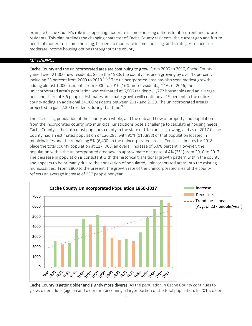examine Cache County's role in supporting moderate income housing options for its current and future residents. This plan outlines the changing character of Cache County residents, the current gap and future needs of moderate income housing, barriers to moderate income housing, and strategies to increase moderate income housing options throughout the county.

## *KEY FINDINGS*

Cache County and the unincorporated area are continuing to grow. From 2000 to 2010, Cache County gained over 21,000 new residents. Since the 1980s the county has been growing by over 18 percent, including 23 percent from 2000 to 2010.<sup>5, 6, 7</sup> The unincorporated area has also seen modest growth, adding almost 1,000 residents from 2000 to 2010 (16% more residents).<sup>5, 6</sup> As of 2016, the unincorporated area's population was estimated at 6,506 residents, 1,772 households and an average household size of 3.6 people.<sup>8</sup> Estimates anticipate growth will continue at 19 percent in the entire county adding an additional 34,000 residents between 2017 and 2030. The unincorporated area is projected to gain 2,300 residents during that time. $9$ 

The increasing population of the county as a whole, and the ebb and flow of property and population from the incorporated county into municipal jurisdictions pose a challenge to calculating housing needs. Cache County is the sixth most populous county in the state of Utah and is growing, and as of 2017 Cache County had an estimated population of 120,288, with 95% (113,888) of that population located in municipalities and the remaining 5% (6,400) in the unincorporated areas. Census estimates for 2018 place the total county population at 127, 068, an overall increase of 5.6% percent. However, the population within the unincorporated area saw an approximate decrease of 4% (251) from 2010 to 2017. The decrease in population is consistent with the historical transitional growth pattern within the county, and appears to be primarily due to the annexation of populated, unincorporated areas into the existing municipalities. From 1860 to the present, the growth rate of the unincorporated area of the county reflects an average increase of 237 people per year.



Cache County is getting older and slightly more diverse. As the population in Cache County continues to grow, older adults (age 65 and older) are becoming a larger portion of the total population. In 2015, older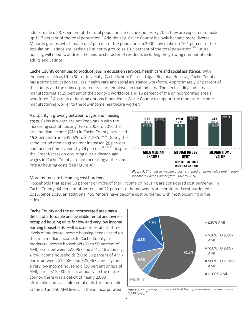adults made up 8.7 percent of the total population in Cache County. By 2025 they are expected to make up 11.7 percent of the total population.<sup>9</sup> Additionally, Cache County is slowly become more diverse. Minority groups, which made up 7 percent of the population in 2000 now make up 16.1 percent of the population. Latinos are leading all minority groups at 10.3 percent of the total population.<sup>10</sup> Future housing will need to address the unique character of residents including the growing number of older adults and Latinos.

Cache County continues to produce jobs in education services, health care and social assistance. With employers such as Utah State University, Cache School District, Logan Regional Hospital, Cache County has a strong education services, health care and social assistance workforce. Approximately 27 percent of the county and the unincorporated area are employed in that industry. The next leading industry is manufacturing at 19 percent of the county's workforce and 15 percent of the unincorporated area's workforce.<sup>11</sup> A variety of housing options is needed in Cache County to support the moderate-income manufacturing worker to the low‐income healthcare worker.

#### A disparity is growing between wages and housing

costs. Gains in wages are not keeping up with the increasing cost of housing. From 2007 to 2016 the area median income (AMI) in Cache County increased **15.3** percent from \$45,029 to \$51,935.<sup>12, 13</sup> During the same period median gross rent increased 20 percent and median home values by 24 percent.<sup>8, 14, 26</sup> Despite the Great Recession occurring over a decade ago, wages in Cache County are not increasing at the same rate as housing costs (see Figure A).



*Figure A. Changes in median gross rent, median home value and median income in Cache County from 2007 to 2016.*

#### More renters are becoming cost burdened.

Households that spend 30 percent or more of their income on housing are considered cost burdened. In Cache County, 44 percent of renters and 22 percent of homeowners are considered cost burdened in 2015. Since 2010, an additional 455 renters have become cost burdened with most occurring in the cities.15

Cache County and the unincorporated area has a deficit of affordable and available rental and owner‐ occupied housing units for low and very low income earning households. AMI is used to establish three levels of moderate income housing needs based on the area median income. In Cache County, a moderate income household (80 to 50 percent of AMI) earns between \$25,967 and \$41,548 annually, a low income households (50 to 30 percent of AMI) earns between \$15,580 and \$25,967 annually, and a very low income household (30 percent or less of AMI) earns \$15,580 or less annually. In the entire county, there was a deficit of nearly 2,000 affordable and available rental units for households at the 30 and 50 AMI levels. In the unincorporated



*Figure B. Percentage of households at the different area median income (AMI) levels.16*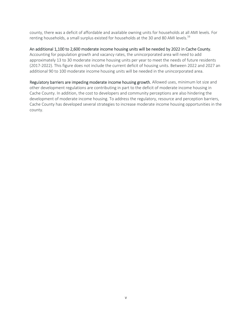county, there was a deficit of affordable and available owning units for households at all AMI levels. For renting households, a small surplus existed for households at the 30 and 80 AMI levels.<sup>16</sup>

## An additional 1,100 to 2,600 moderate income housing units will be needed by 2022 in Cache County.

Accounting for population growth and vacancy rates, the unincorporated area will need to add approximately 13 to 30 moderate income housing units per year to meet the needs of future residents (2017‐2022). This figure does not include the current deficit of housing units. Between 2022 and 2027 an additional 90 to 100 moderate income housing units will be needed in the unincorporated area.

Regulatory barriers are impeding moderate income housing growth. Allowed uses, minimum lot size and other development regulations are contributing in part to the deficit of moderate income housing in Cache County. In addition, the cost to developers and community perceptions are also hindering the development of moderate income housing. To address the regulatory, resource and perception barriers, Cache County has developed several strategies to increase moderate income housing opportunities in the county.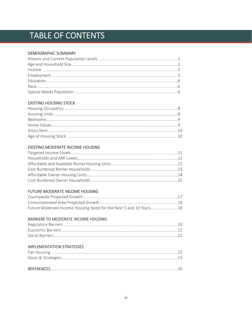# TABLE OF CONTENTS

## **DEMOGRAPHIC SUMMARY**

## **EXISTING HOUSING STOCK**

## EXISTING MODERATE INCOME HOUSING

## FUTURE MODERATE INCOME HOUSING

| Future Moderate Income Housing Need for the Next 5 and 10 Years18 |  |
|-------------------------------------------------------------------|--|

## **BARRIERS TO MODERATE INCOME HOUSING**

## **IMPLEMENTATION STRATEGIES**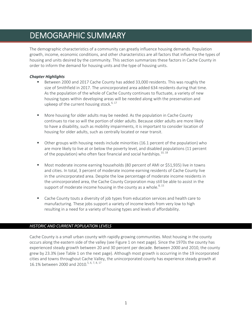## DEMOGRAPHIC SUMMARY

The demographic characteristics of a community can greatly influence housing demands. Population growth, income, economic conditions, and other characteristics are all factors that influence the types of housing and units desired by the community. This section summarizes these factors in Cache County in order to inform the demand for housing units and the type of housing units.

## *Chapter Highlights*

- Between 2000 and 2017 Cache County has added 33,000 residents. This was roughly the size of Smithfield in 2017. The unincorporated area added 634 residents during that time. As the population of the whole of Cache County continues to fluctuate, a variety of new housing types within developing areas will be needed along with the preservation and upkeep of the current housing stock.<sup>6, 17</sup>
- More housing for older adults may be needed. As the population in Cache County continues to rise so will the portion of older adults. Because older adults are more likely to have a disability, such as mobility impairments, it is important to consider location of housing for older adults, such as centrally located or near transit.
- Other groups with housing needs include minorities (16.1 percent of the population) who are more likely to live at or below the poverty level, and disabled populations (11 percent of the population) who often face financial and social hardships.<sup>10, 18</sup>
- Most moderate income earning households (80 percent of AMI or \$51,935) live in towns and cities. In total, 3 percent of moderate income earning residents of Cache County live in the unincorporated area. Despite the low percentage of moderate income residents in the unincorporated area, the Cache County Corporation may still be able to assist in the support of moderate income housing in the county as a whole. $8,15$
- Cache County touts a diversity of job types from education services and health care to manufacturing. These jobs support a variety of income levels from very low to high resulting in a need for a variety of housing types and levels of affordability.

## *HISTORIC AND CURRENT POPULATION LEVELS*

Cache County is a small urban county with rapidly growing communities. Most housing in the county occurs along the eastern side of the valley (see Figure 1 on next page). Since the 1970s the county has experienced steady growth between 20 and 30 percent per decade. Between 2000 and 2010, the county grew by 23.3% (see Table 1 on the next page). Although most growth is occurring in the 19 incorporated cities and towns throughout Cache Valley, the unincorporated county has experience steady growth at 16.1% between 2000 and 2010.<sup>5, 6, 7, 8, 17</sup>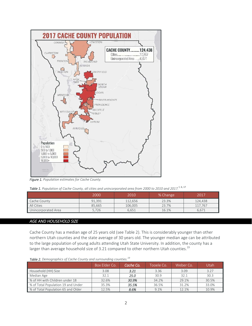

*Figure 1. Population estimates for Cache County.* 

|  |  |  |  |  |  |  | Table 1. Population of Cache County, all cities and unincorporated area from 2000 to 2010 and 2017. <sup>5, 6, 17</sup> |
|--|--|--|--|--|--|--|-------------------------------------------------------------------------------------------------------------------------|
|--|--|--|--|--|--|--|-------------------------------------------------------------------------------------------------------------------------|

|                     | 2000   | 2010    | % Change | 2017    |
|---------------------|--------|---------|----------|---------|
| Cache County        | 91.391 | 112.656 | 23.3%    | 124,438 |
| All Cities          | 85.665 | 106,005 | 23.7%    | 117.767 |
| Unincorporated Area | 5.726  | 6.651   | 16.1%    | 6.671   |

## *AGE AND HOUSEHOLD SIZE*

Cache County has a median age of 25 years old (see Table 2). This is considerably younger than other northern Utah counties and the state average of 30 years old. The younger median age can be attributed to the large population of young adults attending Utah State University. In addition, the county has a larger than average household size of 3.21 compared to other northern Utah counties.<sup>19</sup>

|                                    | Box Elder Co. | Cache Co. | Tooele Co. | Weber Co. | Utah  |
|------------------------------------|---------------|-----------|------------|-----------|-------|
| Household (HH) Size                | 3.08          | 3.21      | 3.36       | 3.09      | 3.27  |
| Median Age                         | 32.1          | 25.0      | 30.9       | 32.1      | 30.3  |
| ■ % of HH with Children under 18   | 32.6%         | 30.9%     | 34.2%      | 29.1%     | 30.5% |
| % of Total Population 19 and Under | 35.3%         | 35.5%     | 36.5%      | 31.2%     | 33.0% |
| % of Total Population 65 and Older | 12.5%         | 8.6%      | 9.1%       | 12.1%     | 10.9% |

*Table 2. Demographics of Cache County and surrounding counties.19*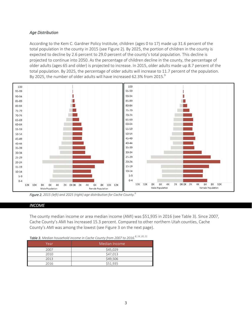## *Age Distribution*

According to the Kem C. Gardner Policy Institute, children (ages 0 to 17) made up 31.6 percent of the total population in the county in 2015 (see Figure 2). By 2025, the portion of children in the county is expected to decline by 2.6 percent to 29.0 percent of the county's total population. This decline is projected to continue into 2050. As the percentage of children decline in the county, the percentage of older adults (ages 65 and older) is projected to increase. In 2015, older adults made up 8.7 percent of the total population. By 2025, the percentage of older adults will increase to 11.7 percent of the population. By 2025, the number of older adults will have increased 62.3% from 2015.<sup>9</sup>



*Figure 2. 2015 (left) and 2025 (right) age distribution for Cache County. 9*

#### *INCOME*

The county median income or area median income (AMI) was \$51,935 in 2016 (see Table 3). Since 2007, Cache County's AMI has increased 15.3 percent. Compared to other northern Utah counties, Cache County's AMI was among the lowest (see Figure 3 on the next page).

| Table 3. Median household income in Cache County from 2007 to 2016. <sup>8, 14, 20, 21</sup> |  |  |  |
|----------------------------------------------------------------------------------------------|--|--|--|
|----------------------------------------------------------------------------------------------|--|--|--|

| Year | Median Income |
|------|---------------|
| 2007 | \$45,029      |
| 2010 | \$47,013      |
| 2013 | \$49,506      |
| 2016 | \$51,935      |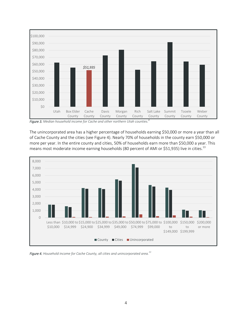

*Figure 3. Median household income for Cache and other northern Utah counties.<sup>8</sup>*

The unincorporated area has a higher percentage of households earning \$50,000 or more a year than all of Cache County and the cities (see Figure 4). Nearly 70% of households in the county earn \$50,000 or more per year. In the entire county and cities, 50% of households earn more than \$50,000 a year. This means most moderate income earning households (80 percent of AMI or \$51,935) live in cities.<sup>13</sup>



*Figure 4. Household income for Cache County, all cities and unincorporated area.<sup>11</sup>*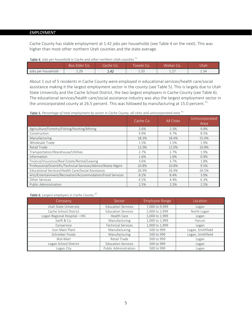#### *EMPLOYMENT*

Cache County has stable employment at 1.42 jobs per households (see Table 4 on the next). This was higher than most other northern Utah counties and the state average.

*Table 4. Jobs per household in Cache and other northern Utah counties.11*

|                    | Box Elder<br>ೂ              | Cache Co. | innele Ci      | Weber                             | Utah |
|--------------------|-----------------------------|-----------|----------------|-----------------------------------|------|
| Jobs per household | ່າດ<br>$\perp$ . $\angle$ . | 1.42      | 1.22<br>ن ر. 1 | $\sim$ $-$<br>$\perp$ . $\perp$ . | 1.34 |

About 1 out of 5 residents in Cache County were employed in educational services/health care/social assistance making it the largest employment sector in the county (see Table 5). This is largely due to Utah State University and the Cache School District, the two largest employers in Cache County (see Table 6). The educational services/health care/social assistance industry was also the largest employment sector in the unincorporated county at 26.5 percent. This was followed by manufacturing at 15.0 percent.<sup>11</sup>

*Table 5. Percentage of total employment by sector in Cache County, all cities and unincorporated area.11*

|                                                             | Cache Co. | <b>All Cities</b> | Unincorporated<br>Area |
|-------------------------------------------------------------|-----------|-------------------|------------------------|
| Agriculture/Forestry/Fishing/Hunting/Mining                 | 2.6%      | 2.3%              | 9.8%                   |
| Construction                                                | 4.9%      | 4.7%              | 8.5%                   |
| Manufacturing                                               | 18.3%     | 18.4%             | 15.0%                  |
| Wholesale Trade                                             | 1.5%      | 1.5%              | 1.9%                   |
| Retail Trade                                                | 12.0%     | 12.0%             | 10.8%                  |
| Transportation/Warehouse/Utilities                          | 2.7%      | 2.7%              | 1.9%                   |
| Information                                                 | 1.6%      | 1.6%              | 0.9%                   |
| Finance/Insurance/Real Estate/Rental/Leasing                | 3.6%      | 3.7%              | 1.8%                   |
| Professional/Scientific/Technical Services/Admin/Waste Mgmt | 10.8%     | 10.8%             | 9.5%                   |
| Educational Services/Health Care/Social Assistance          | 26.9%     | 26.9%             | 26.5%                  |
| Arts/Entertainment/Recreation/Accommodation/Food Services   | 8.2%      | 8.4%              | 3.9%                   |
| Other Services                                              | 4.5%      | 4.4%              | 6.3%                   |
| Public Administration                                       | 2.5%      | 2.5%              | 2.5%                   |

*Table 6. Largest employers in Cache County.22*

| Company                       | Sector                    | Employee Range | Location          |
|-------------------------------|---------------------------|----------------|-------------------|
| Utah State University         | <b>Education Services</b> | 7,000 to 9,999 | Logan             |
| Cache School District         | <b>Education Services</b> | 2,000 to 2,999 | North Logan       |
| Logan Regional Hospital - IHC | Health Care               | 1,000 to 1,999 | Logan             |
| Swift & Co.                   | Manufacturing             | 1,000 to 1,999 | Hyrum             |
| Conservice                    | <b>Technical Services</b> | 1,000 to 1,999 | Logan             |
| Icon Main Plant               | Manufacturing             | 500 to 999     | Logan, Smithfield |
| Schreiber Foods               | Manufacturing             | 500 to 999     | Logan, Smithfield |
| Wal-Mart                      | Retail Trade              | 500 to 999     | Logan             |
| Logan School District         | <b>Education Services</b> | 500 to 999     | Logan             |
| Logan City                    | Public Administration     | 500 to 999     | Logan             |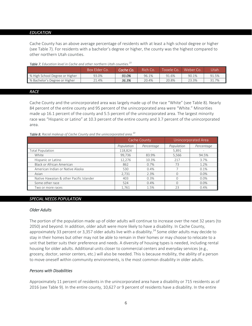#### *EDUCATION*

Cache County has an above average percentage of residents with at least a high school degree or higher (see Table 7). For residents with a bachelor's degree or higher, the county was the highest compared to other northern Utah counties.

|                                | Box Elder Co. | Cache Co. | Rich Co. | Tooele Co. | Weber Co | Utah  |
|--------------------------------|---------------|-----------|----------|------------|----------|-------|
| % High School Degree or Higher | 93.0%         | 93.0%     | 96.1%    | 91.6%      | 90.1%    | 91.5% |
| % Bachelor's Degree or Higher  | 21.4%         | 36.3%     | 20.4%    | 20.8%      | 23.3%    | 31.7% |

#### *Table 7. Education level in Cache and other northern Utah counties.23*

#### *RACE*

Cache County and the unincorporated area was largely made up of the race "White" (see Table 8). Nearly 84 percent of the entire county and 95 percent of the unincorporated area were "White." Minorities made up 16.1 percent of the county and 5.5 percent of the unincorporated area. The largest minority race was "Hispanic or Latino" at 10.3 percent of the entire county and 3.7 percent of the unincorporated area.

#### *Table 8. Racial makeup of Cache County and the unincorporated area.10*

|                                          | Cache County |            |            | Unincorporated Area |
|------------------------------------------|--------------|------------|------------|---------------------|
|                                          | Population   | Percentage | Population | Percentage          |
| <b>Total Population</b>                  | 118,824      | ۰.         | 5,891      |                     |
| White                                    | 99,736       | 83.9%      | 5,566      | 94.5%               |
| Hispanic or Latino                       | 12,276       | 10.3%      | 217        | 3.7%                |
| Black or African American                | 862          | 0.7%       | 73         | 1.2%                |
| American Indian or Native Alaska         | 530          | 0.4%       |            | 0.1%                |
| Asian                                    | 2.731        | 2.3%       |            | 0.0%                |
| Native Hawaiian & other Pacific Islander | 403          | 0.3%       |            | 0.0%                |
| Some other race                          | 524          | 0.4%       |            | $0.0\%$             |
| Two or more races                        | 1.761        | 1.5%       | 23         | 0.4%                |

#### *SPECIAL NEEDS POPULATION*

#### *Older Adults*

The portion of the population made up of older adults will continue to increase over the next 32 years (to 2050) and beyond. In addition, older adult were more likely to have a disability. In Cache County, approximately 33 percent or 3,357 older adults live with a disability.<sup>24</sup> Some older adults may decide to stay in their homes but other may not be able to remain in their homes or may choose to relocate to a unit that better suits their preference and needs. A diversity of housing types is needed, including rental housing for older adults. Additional units closer to commercial centers and everyday services (e.g., grocery, doctor, senior centers, etc.) will also be needed. This is because mobility, the ability of a person to move oneself within community environments, is the most common disability in older adults.

#### *Persons with Disabilities*

Approximately 11 percent of residents in the unincorporated area have a disability or 715 residents as of 2016 (see Table 9). In the entire county, 10,627 or 9 percent of residents have a disability. In the entire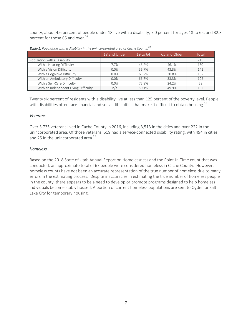county, about 4.6 percent of people under 18 live with a disability, 7.0 percent for ages 18 to 65, and 32.3 percent for those 65 and over.<sup>24</sup>

|                                       | 18 and Under | 19 to 64 | 65 and Older | Total |
|---------------------------------------|--------------|----------|--------------|-------|
| Population with a Disability          |              |          |              | 715   |
| With a Hearing Difficulty             | 7.7%         | 46.2%    | 46.1%        | 130   |
| With a Vision Difficulty              | 0.0%         | 56.7%    | 43.3%        | 141   |
| With a Cognitive Difficulty           | 0.0%         | 69.2%    | 30.8%        | 182   |
| With an Ambulatory Difficulty         | 0.0%         | 66.7%    | 33.3%        | 102   |
| With a Self-Care Difficulty           | 0.0%         | 75.8%    | 24.2%        | 58    |
| With an Independent Living Difficulty | n/a          | 50.1%    | 49.9%        | 102   |

*Table 9. Population with a disability in the unincorporated area of Cache County.<sup>24</sup>*

Twenty six percent of residents with a disability live at less than 125 percent of the poverty level. People with disabilities often face financial and social difficulties that make it difficult to obtain housing.<sup>18</sup>

## *Veterans*

Over 3,735 veterans lived in Cache County in 2016, including 3,513 in the cities and over 222 in the unincorporated area. Of those veterans, 519 had a service‐connected disability rating, with 494 in cities and 25 in the unincorporated area.<sup>25</sup>

## *Homeless*

Based on the 2018 State of Utah Annual Report on Homelessness and the Point‐In‐Time count that was conducted, an approximate total of 67 people were considered homeless in Cache County. However, homeless counts have not been an accurate representation of the true number of homeless due to many errors in the estimating process. Despite inaccuracies in estimating the true number of homeless people in the county, there appears to be a need to develop or promote programs designed to help homeless individuals become stably housed. A portion of current homeless populations are sent to Ogden or Salt Lake City for temporary housing.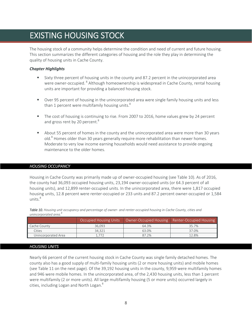## EXISTING HOUSING STOCK

The housing stock of a community helps determine the condition and need of current and future housing. This section summarizes the different categories of housing and the role they play in determining the quality of housing units in Cache County.

## *Chapter Highlights*

- Sixty three percent of housing units in the county and 87.2 percent in the unincorporated area were owner-occupied. <sup>8</sup> Although homeownership is widespread in Cache County, rental housing units are important for providing a balanced housing stock.
- **Didentify 1** Over 95 percent of housing in the unincorporated area were single family housing units and less than 1 percent were multifamily housing units. $8$
- The cost of housing is continuing to rise. From 2007 to 2016, home values grew by 24 percent and gross rent by 20 percent.<sup>8</sup>
- **About 55 percent of homes in the county and the unincorporated area were more than 30 years** old.<sup>8</sup> Homes older than 30 years generally require more rehabilitation than newer homes. Moderate to very low income earning households would need assistance to provide ongoing maintenance to the older homes.

## *HOUSING OCCUPANCY*

Housing in Cache County was primarily made up of owner‐occupied housing (see Table 10). As of 2016, the county had 36,093 occupied housing units, 23,194 owner‐occupied units (or 64.3 percent of all housing units), and 12,899 renter-occupied units. In the unincorporated area, there were 1,817 occupied housing units, 12.8 percent were renter-occupied or 233 units and 87.2 percent owner-occupied or 1,584 units $8$ 

| <u>umnon bonucu urcu.</u> |                        |       |                                                  |
|---------------------------|------------------------|-------|--------------------------------------------------|
|                           | Occupied Housing Units |       | Owner-Occupied Housing   Renter-Occupied Housing |
| Cache County              | 36.093                 | 64.3% | 35.7%                                            |
| Cities                    | 34.321                 | 63.0% | 37.0%                                            |
| Unincorporated Area       | 1.772                  | 87.2% | 12.8%                                            |

*Table 10. Housing unit occupancy and percentage of owner‐ and renter‐occupied housing in Cache County, cities and unincorporated area.8*

## *HOUSING UNITS*

Nearly 66 percent of the current housing stock in Cache County was single family detached homes. The county also has a good supply of multi‐family housing units (2 or more housing units) and mobile homes (see Table 11 on the next page). Of the 39,192 housing units in the county, 9,959 were multifamily homes and 946 were mobile homes. In the unincorporated area, of the 2,430 housing units, less than 1 percent were multifamily (2 or more units). All large multifamily housing (5 or more units) occurred largely in cities, including Logan and North Logan. $^8$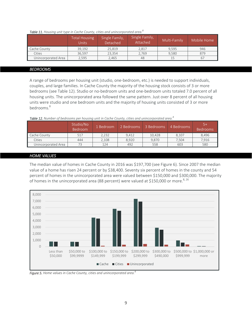|  |  |  |  | Table 11. Housing unit type in Cache County, cities and unincorporated area. <sup>8</sup> |  |
|--|--|--|--|-------------------------------------------------------------------------------------------|--|
|--|--|--|--|-------------------------------------------------------------------------------------------|--|

|                     | Total Housing<br>Units | Single Family,<br><b>Detached</b> | Single Family,<br>Attached | Multi-Family | Mobile Home |
|---------------------|------------------------|-----------------------------------|----------------------------|--------------|-------------|
| Cache County        | 39.192                 | 25.819                            | 2.817                      | 9.595        | 946         |
| Cities              | 36.597                 | 23.354                            | 2.769                      | 9.580        | 879         |
| Unincorporated Area | 2.595                  | 2.465                             | 48                         |              | 6,          |

## *BEDROOMS*

A range of bedrooms per housing unit (studio, one‐bedroom, etc.) is needed to support individuals, couples, and large families. In Cache County the majority of the housing stock consists of 3 or more bedrooms (see Table 12). Studio or no‐bedroom units and one‐bedroom units totaled 7.0 percent of all housing units. The unincorporated area followed the same pattern. Just over 8 percent of all housing units were studio and one bedroom units and the majority of housing units consisted of 3 or more bedrooms.<sup>8</sup>

*Table 12. Number of bedrooms per housing unit in Cache County, cities and unincorporated area.8*

|                     | Studio/No<br><b>Bedroom</b> | 1 Bedroom | 2 Bedrooms | 3 Bedrooms | 4 Bedrooms | $5 +$<br><b>Bedrooms</b> |
|---------------------|-----------------------------|-----------|------------|------------|------------|--------------------------|
| Cache County        | 517                         | 2.232     | 9.412      | 10.428     | 8.107      | 8.496                    |
| Cities              | 444                         | 2.108     | 8.920      | 9,870      | 7,504      | 7,916                    |
| Unincorporated Area | 73                          | 124       | 492        | 558        | 603        | 580                      |

#### *HOME VALUES*

The median value of homes in Cache County in 2016 was \$197,700 (see Figure 6). Since 2007 the median value of a home has risen 24 percent or by \$38,400. Seventy six percent of homes in the county and 54 percent of homes in the unincorporated area were valued between \$150,000 and \$300,000. The majority of homes in the unincorporated area (88 percent) were valued at \$150,000 or more.<sup>8, 26</sup>



*Figure 5. Home values in Cache County, cities and unincorporated area.8*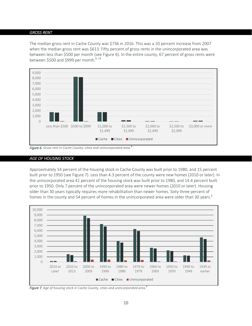#### *GROSS RENT*

The median gross rent in Cache County was \$736 in 2016. This was a 20 percent increase from 2007 when the median gross rent was \$613. Fifty percent of gross rents in the unincorporated area was between less than \$500 per month (see Figure 6). In the entire county, 67 percent of gross rents were between \$500 and \$999 per month. $8,14$ 



*Figure 6. Gross rent in Cache County, cities and unincorporated area. 8*

#### *AGE OF HOUSING STOCK*

Approximately 54 percent of the housing stock in Cache County was built prior to 1980, and 15 percent built prior to 1950 (see Figure 7). Less than 4.3 percent of the county were new homes (2010 or later). In the unincorporated area 42 percent of the housing stock was built prior to 1980, and 14.4 percent built prior to 1950. Only 7 percent of the unincorporated area were newer homes (2010 or later). Housing older than 30 years typically requires more rehabilitation than newer homes. Sixty three percent of homes in the county and 54 percent of homes in the unincorporated area were older than 30 years. $^8$ 



*Figure 7. Age of housing stock in Cache County, cities and unincorporated area. 8*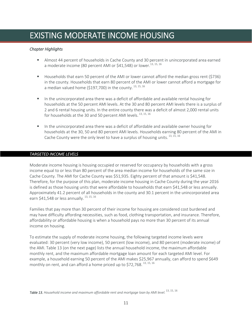## EXISTING MODERATE INCOME HOUSING

## *Chapter Highlights*

- Almost 44 percent of households in Cache County and 30 percent in unincorporated area earned a moderate income (80 percent AMI or \$41.548) or lower.<sup>13, 15, 16</sup>
- Households that earn 50 percent of the AMI or lower cannot afford the median gross rent (\$736) in the county. Households that earn 80 percent of the AMI or lower cannot afford a mortgage for a median valued home (\$197,700) in the county.  $^{13, 15, 16}$
- In the unincorporated area there was a deficit of affordable and available rental housing for households at the 50 percent AMI levels. At the 30 and 80 percent AMI levels there is a surplus of 2 and 6 rental housing units. In the entire county there was a deficit of almost 2,000 rental units for households at the 30 and 50 percent AMI levels.<sup>13, 15, 16</sup>
- In the unincorporated area there was a deficit of affordable and available owner housing for households at the 30, 50 and 80 percent AMI levels. Households earning 80 percent of the AMI in Cache County were the only level to have a surplus of housing units.  $^{13, 15, 16}$

## *TARGETED INCOME LEVELS*

Moderate income housing is housing occupied or reserved for occupancy by households with a gross income equal to or less than 80 percent of the area median income for households of the same size in Cache County. The AMI for Cache County was \$51,935. Eighty percent of that amount is \$41,548. Therefore, for the purpose of this plan, moderate income housing in Cache County during the year 2016 is defined as those housing units that were affordable to households that earn \$41,548 or less annually. Approximately 41.2 percent of all households in the county and 30.1 percent in the unincorporated area earn \$41,548 or less annually. 13, 15, 16

Families that pay more than 30 percent of their income for housing are considered cost burdened and may have difficulty affording necessities, such as food, clothing transportation, and insurance. Therefore, affordability or affordable housing is when a household pays no more than 30 percent of its annual income on housing.

To estimate the supply of moderate income housing, the following targeted income levels were evaluated: 30 percent (very low income), 50 percent (low income), and 80 percent (moderate income) of the AMI. Table 13 (on the next page) lists the annual household income, the maximum affordable monthly rent, and the maximum affordable mortgage loan amount for each targeted AMI level. For example, a household earning 50 percent of the AMI makes \$25,967 annually, can afford to spend \$649 monthly on rent, and can afford a home priced up to \$72,768.<sup>13, 15, 16</sup>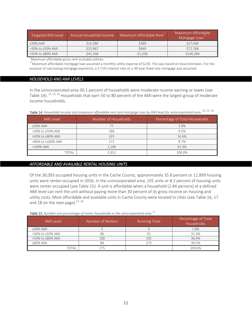| Targeted AMI Level | Annual Household Income | Maximum Affordable Rent | Maximum Affordable<br>Mortgage Loan |
|--------------------|-------------------------|-------------------------|-------------------------------------|
| $\leq$ 30% AMI     | \$15,580                | \$389                   | \$27,690                            |
| >30% to ≤50% AMI   | \$25,967                | <b>\$649</b>            | \$72,768                            |
| >50% to ≤80% AMI   | \$41,548                | \$1,038                 | \$140,384                           |

Maximum affordable gross rent included utilities.

 $*$ Maximum affordable mortgage loan assumed a monthly utility expense of \$230. This was based on local estimates. For the purpose of calculating mortgage payments, a 3.71% interest rate on a 30‐year fixed rate mortgage was assumed.

### *HOUSEHOLD AND AMI LEVELS*

In the unincorporated area 30.1 percent of households were moderate income earning or lower (see Table 14). <sup>13, 15, 16</sup> Households that earn 50 to 80 percent of the AMI were the largest group of moderate income households.

| <b>AMI</b> Level  | Number of Households | Percentage of Total Households |
|-------------------|----------------------|--------------------------------|
| $\leq$ 30% AMI    | 77                   | 3.9%                           |
| >30% to ≤50% AMI  | 186                  | 9.5%                           |
| >50% to ≤80% AMI  | 325                  | 16.6%                          |
| >80% to ≤100% AMI | 171                  | 8.7%                           |
| >100% AMI         | 1,198                | 61.3%                          |
| TOTAL             | 1.952                | 100.0%                         |

#### *AFFORDABLE AND AVAILABLE RENTAL HOUSING UNITS*

Of the 36,093 occupied housing units in the Cache County, approximately 35.8 percent or 12,899 housing units were renter‐occupied in 2016. In the unincorporated area, 191 units or 8.2 percent of housing units were renter-occupied (see Table 15). A unit is affordable when a household (2.84 persons) at a defined AMI level can rent the unit without paying more than 30 percent of its gross income on housing and utility costs. Most affordable and available units in Cache County were located in cities (see Table 16, 17 and 18 on the next page).  $^{15, 16}$ 

*Table 15. Number and percentage of renter households in the unincorporated area*. <sup>15</sup>

| <b>AMI</b> Level | Number of Renters | <b>Running Total</b>     | Percentage of Total<br><b>Households</b> |
|------------------|-------------------|--------------------------|------------------------------------------|
| $\leq$ 30% AMI   |                   |                          | 1.8%                                     |
| >30% to ≤50% AMI | 86                | 91                       | 31.3%                                    |
| >50% to <80% AMI | 100               | 191                      | 36.4%                                    |
| $\geq 80\%$ AMI  | 84                | 275                      | 30.5%                                    |
| TOTAL            |                   | $\overline{\phantom{a}}$ | 100.0%                                   |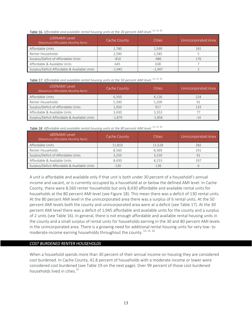| <30%AMI Level<br>(Maximum Affordable Monthly Rent) | Cache County | Cities   | Unincorporated Area |
|----------------------------------------------------|--------------|----------|---------------------|
| Affordable Units                                   | 1,780        | 1,599    | 181                 |
| Renter Households                                  | 2.590        | 2.585    |                     |
| Surplus/Deficit of Affordable Units                | $-810$       | $-986$   | 176                 |
| Affordable & Available Units                       | 645          | 638      |                     |
| Surplus/Deficit Affordable & Available Units       | $-1.945$     | $-1.947$ |                     |

**Table 17.** Affordable and available rental housing units at the 50 percent AMI level.  $^{13,\,15,\,16}$ 

| ≤50%AMI Level<br>(Maximum Affordable Monthly Rent) | Cache County | Cities   | Unincorporated Area |
|----------------------------------------------------|--------------|----------|---------------------|
| Affordable Units                                   | 6,350        | 6,126    | 224                 |
| Renter Households                                  | 5.300        | 5,209    | 91                  |
| Surplus/Deficit of Affordable Units                | 1.050        | 917      | 133                 |
| Affordable & Available Units                       | 3.430        | 3.353    |                     |
| Surplus/Deficit Affordable & Available Units       | $-1.870$     | $-1.856$ | $-14$               |

| Table 18. Affordable and available rental housing units at the 80 percent AMI level. <sup>13, 15, 16</sup> |  |  |  |  |  |
|------------------------------------------------------------------------------------------------------------|--|--|--|--|--|
|------------------------------------------------------------------------------------------------------------|--|--|--|--|--|

| ≤80%AMI Level<br>(Maximum Affordable Monthly Rent) | Cache County | <b>Cities</b> | Unincorporated Area |
|----------------------------------------------------|--------------|---------------|---------------------|
| Affordable Units                                   | 11,810       | 11,528        | 282                 |
| Renter Households                                  | 8.560        | 8.369         | 191                 |
| Surplus/Deficit of Affordable Units                | 3.250        | 3,159         | 91                  |
| Affordable & Available Units                       | 8.430        | 8.233         | 197                 |
| Surplus/Deficit Affordable & Available Units       | $-130$       | $-136$        |                     |

A unit is affordable and available only if that unit is both under 30 percent of a household's annual income and vacant, or is currently occupied by a household at or below the defined AMI level. In Cache County, there were 8,560 renter households but only 8,430 affordable and available rental units for households at the 80 percent AMI level (see Figure 18). This mean there was a deficit of 130 rental units. At the 80 percent AMI level in the unincorporated area there was a surplus of 6 rental units. At the 50 percent AMI levels both the county and unincorporated area were at a deficit (see Table 17). At the 30 percent AMI level there was a deficit of 1,945 affordable and available units for the county and a surplus of 2 units (see Table 16). In general, there is not enough affordable and available rental housing units in the county and a small surplus of rental units for households earning in the 30 and 80 percent AMI levels in the unincorporated area. There is a growing need for additional rental housing units for very low‐ to moderate-income earning households throughout the county.<sup>13, 15, 16</sup>

## *COST BURDENED RENTER HOUSEHOLDS*

When a household spends more than 30 percent of their annual income on housing they are considered cost burdened. In Cache County, 42.8 percent of households with a moderate income or lower were considered cost burdened (see Table 19 on the next page). Over 99 percent of those cost burdened households lived in cities.<sup>15</sup>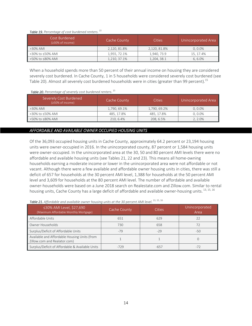#### *Table 19. Percentage of cost burdened renters. 15*

| Cost Burdened<br>$(230\% \text{ of income})$ | Cache County | <b>Cities</b> | Unincorporated Area |
|----------------------------------------------|--------------|---------------|---------------------|
| $\geq$ 30% AMI                               | 2,120, 81.8% | 2,120, 81.8%  | $0.0.0\%$           |
| →30% to ≤50% AMI                             | 1,955, 72.1% | 1,940, 73.9   | 15, 17.4%           |
| →50% to ≤80% AMI                             | 1,210, 37.1% | 1,204, 38.1   | $6.6.0\%$           |

When a household spends more than 50 percent of their annual income on housing they are considered severely cost burdened. In Cache County, 1 in 5 households were considered severely cost burdened (see Table 20). Almost all severely cost burdened households were in cities (greater than 99 percent).<sup>15</sup>

#### *Table 20. Percentage of severely cost burdened renters*. 15

| Severely Cost Burdened<br>(≥50% of income) | Cache County | Cities       | Unincorporated Area |
|--------------------------------------------|--------------|--------------|---------------------|
| $>30\%$ AMI                                | 1,790, 69.1% | 1,790, 69.2% | $0.0.0\%$           |
| →30% to ≤50% AMI                           | 485, 17.8%   | 485, 17.8%   | $0.0.0\%$           |
| →50% to ≤80% AMI                           | 210, 6.4%    | 208, 6.5%    | 2, 2.0%             |

## *AFFORDABLE AND AVAILABLE OWNER OCCUPIED HOUSING UNITS*

Of the 36,093 occupied housing units in Cache County, approximately 64.2 percent or 23,194 housing units were owner‐occupied in 2016. In the unincorporated county, 87 percent or 1,584 housing units were owner-occupied. In the unincorporated area at the 30, 50 and 80 percent AMI levels there were no affordable and available housing units (see Tables 21, 22 and 23). This means all home‐owning households earning a moderate income or lower in the unincorporated area were not affordable or not vacant. Although there were a few available and affordable owner housing units in cities, there was still a deficit of 657 for households at the 30 percent AMI level, 1,388 for households at the 50 percent AMI level and 3,609 for households at the 80 percent AMI level. The number of affordable and available owner‐households were based on a June 2018 search on Realestate.com and Zillow.com. Similar to rental housing units, Cache County has a large deficit of affordable and available owner-housing units.<sup>13, 15, 16</sup>

| ≤30% AMI Level, \$27,690<br>(Maximum Affordable Monthly Mortgage)            | Cache County | <b>Cities</b> | Unincorporated<br>Area |
|------------------------------------------------------------------------------|--------------|---------------|------------------------|
| Affordable Units                                                             | 651          | 629           |                        |
| Owner Households                                                             | 730          | 658           | 72                     |
| Surplus/Deficit of Affordable Units                                          | $-79$        | $-29$         | $-50$                  |
| Available and Affordable Housing Units (from<br>Zillow.com and Realator.com) |              |               |                        |
| Surplus/Deficit of Affordable & Available Units                              | $-729$       | $-657$        | $-72$                  |

**Table 21.** Affordable and available owner housing units at the 30 percent AMI level.  $^{13,\,15,\,16}$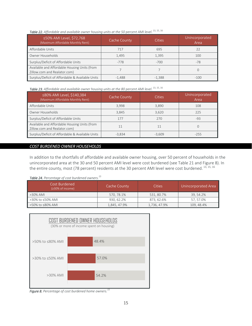| ≤50% AMI Level, \$72,768<br>(Maximum Affordable Monthly Rent)                | Cache County | Cities   | Unincorporated<br>Area |
|------------------------------------------------------------------------------|--------------|----------|------------------------|
| Affordable Units                                                             | 717          | 695      |                        |
| Owner Households                                                             | 1,495        | 1,395    | 100                    |
| Surplus/Deficit of Affordable Units                                          | $-778$       | $-700$   | $-78$                  |
| Available and Affordable Housing Units (from<br>Zillow.com and Realator.com) |              |          |                        |
| Surplus/Deficit of Affordable & Available Units                              | $-1.488$     | $-1,388$ | $-100$                 |

#### **Table 22.** Affordable and available owner housing units at the 50 percent AMI level.  $^{13,\,15,\,16}$

**Table 23.** Affordable and available owner housing units at the 80 percent AMI level.  $^{13,\,15,\,16}$ 

| ≤80% AMI Level, \$140,384<br>(Maximum Affordable Monthly Rent)               | Cache County | Cities   | Unincorporated<br>Area |
|------------------------------------------------------------------------------|--------------|----------|------------------------|
| Affordable Units                                                             | 3,998        | 3,890    | 108                    |
| Owner Households                                                             | 3,845        | 3,620    | 225                    |
| Surplus/Deficit of Affordable Units                                          | 177          | 270      | $-93$                  |
| Available and Affordable Housing Units (from<br>Zillow.com and Realator.com) | 11           | 11       |                        |
| Surplus/Deficit of Affordable & Available Units                              | $-3,834$     | $-3,609$ | $-255$                 |

## *COST BURDENED OWNER HOUSEHOLDS*

In addition to the shortfalls of affordable and available owner housing, over 50 percent of households in the unincorporated area at the 30 and 50 percent AMI level were cost burdened (see Table 21 and Figure 8). In the entire county, most (78 percent) residents at the 30 percent AMI level were cost burdened. 13, 15, 16

## *Table 24. Percentage of cost burdened owners.15*

| Cost Burdened<br>(≥30% of income) | Cache County | Cities       | Unincorporated Area |
|-----------------------------------|--------------|--------------|---------------------|
| $>30\%$ AMI                       | 570.78.1%    | 531, 80.7%   | 39.54.2%            |
| >30% to ≤50% AMI                  | 930, 62.2%   | 873.62.6%    | 57.57.0%            |
| >50% to ≤80% AMI                  | 1,845, 47.9% | 1,736, 47.9% | 109.48.4%           |



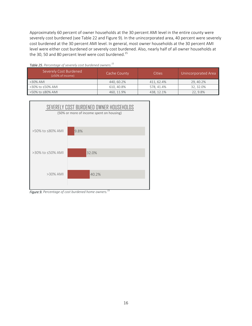Approximately 60 percent of owner households at the 30 percent AMI level in the entire county were severely cost burdened (see Table 22 and Figure 9). In the unincorporated area, 40 percent were severely cost burdened at the 30 percent AMI level. In general, most owner households at the 30 percent AMI level were either cost burdened or severely cost burdened. Also, nearly half of all owner households at the 30, 50 and 80 percent level were cost burdened.<sup>15</sup>

| Severely Cost Burdened<br>$(250\% \text{ of income})$ | Cache County | Cities     | Unincorporated Area |  |  |
|-------------------------------------------------------|--------------|------------|---------------------|--|--|
| $>30\%$ AMI                                           | 440.60.2%    | 411, 62.4% | 29, 40.2%           |  |  |
| >30% to ≤50% AMI                                      | 610, 40.8%   | 578, 41.4% | 32, 32.0%           |  |  |
| >50% to ≤80% AMI                                      | 460, 11.9%   | 438, 12.1% | 22, 9.8%            |  |  |

*Table 25. Percentage of severely cost burdened owners. 15*



*Figure 9. Percentage of cost burdened home owners.15*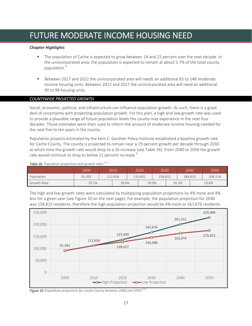## FUTURE MODERATE INCOME HOUSING NEED

## *Chapter Highlights*

- The population of Cache is expected to grow between 14 and 22 percent over the next decade. In the unincorporated area, the population is expected to remain at about 5.7% of the total county population.<sup>9</sup>
- Between 2017 and 2022 the unincorporated area will needs an additional 65 to 148 moderate income housing units. Between 2022 and 2027 the unincorporated area will need an additional 90 to 98 housing units.

## *COUNTYWIDE PROJECTED GROWTH*

Social, economic, political, and infrastructure can influence population growth. As such, there is a great deal of uncertainty with projecting population growth. For this plan, a high and low growth rate was used to provide a plausible range of future population levels the county may experience in the next four decades. Those estimates were then used to inform the amount of moderate income housing needed for the next five to ten years in the county.

Population projects estimated by the Kem C. Gardner Policy Institute established a baseline growth rate for Cache County. The county is projected to remain near a 19 percent growth per decade through 2030 at which time the growth rate would drop to a 16 increase (see Table 26). From 2040 to 2050 the growth rate would continue to drop to below 11 percent increase. $^9$ 

|             | 2000   | 2010    |       |         | 2030<br>2020 |         | 2040  |         |  | 2050    |
|-------------|--------|---------|-------|---------|--------------|---------|-------|---------|--|---------|
| Population  | 91,391 | 112.656 |       | 133.601 |              | 158.815 |       | 184.635 |  | 204,114 |
| Growth Rate | 29.5%  |         | 18.6% |         | 18.9%        |         | 16.3% |         |  | 10.6%   |

Table 26. Population projections and growth rates.<sup>6, 9</sup>

The high and low growth rates were calculated by multiplying population projections by 4% more and 4% less for a given year (see Figure 10 on the next page). For example, the population projection for 2030 was 158,815 residents, therefore the high population projection would be 4% more or 167,676 residents.



**Figure 10.** Population projections for Cache County between 2000 and 2050.<sup>6, 9</sup>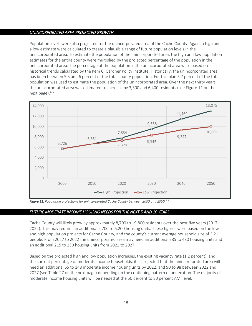## *UNINCORPORATED AREA PROJECTED GROWTH*

Population levels were also projected for the unincorporated area of the Cache County. Again, a high and a low estimate were calculated to create a plausible range of future population levels in the unincorporated area. To estimate the population of the unincorporated area, the high and low population estimates for the entire county were multiplied by the projected percentage of the population in the unincorporated area. The percentage of the population in the unincorporated area were based on historical trends calculated by the Kem C. Gardner Policy Institute. Historically, the unincorporated area has been between 5.5 and 6 percent of the total county population. For this plan 5.7 percent of the total population was used to estimate the population of the unincorporated area. Over the next thirty years the unincorporated area was estimated to increase by 3,300 and 6,400 residents (see Figure 11 on the next page). $6, 9$ 



*Figure 11. Population projections for unincorporated Cache County between 2000 and 2050.6, 9* 

## *FUTURE MODERATE INCOME HOUISNG NEEDS FOR THE NEXT 5 AND 10 YEARS*

Cache County will likely grow by approximately 8,700 to 19,800 residents over the next five years (2017‐ 2022). This may require an additional 2,700 to 6,200 housing units. These figures were based on the low and high population projects for Cache County, and the county's current average household size of 3.21 people. From 2017 to 2022 the unincorporated area may need an additional 285 to 480 housing units and an additional 215 to 230 housing units from 2022 to 2027.

Based on the projected high and low population increases, the existing vacancy rate (1.2 percent), and the current percentage of moderate income households, it is projected that the unincorporated area will need an additional 65 to 148 moderate income housing units by 2022, and 90 to 98 between 2022 and 2027 (see Table 27 on the next page) depending on the continuing pattern of annexation. The majority of moderate income housing units will be needed at the 50 percent to 80 percent AMI level.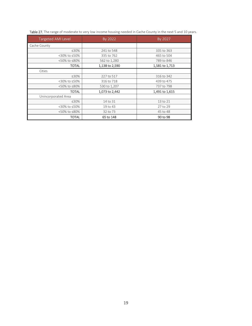| <b>Targeted AMI Level</b> | By 2022        | By 2027        |  |  |  |
|---------------------------|----------------|----------------|--|--|--|
| Cache County              |                |                |  |  |  |
| ≤30%                      | 241 to 548     | 335 to 363     |  |  |  |
| <30% to ≤50%              | 335 to 762     | 465 to 504     |  |  |  |
| <50% to ≤80%              | 562 to 1,280   | 789 to 846     |  |  |  |
| <b>TOTAL</b>              | 1,138 to 2,590 | 1,581 to 1,713 |  |  |  |
| Cities                    |                |                |  |  |  |
| ≤30%                      | 227 to 517     | 316 to 342     |  |  |  |
| <30% to ≤50%              | 316 to 718     | 439 to 475     |  |  |  |
| <50% to ≤80%              | 530 to 1,207   | 737 to 798     |  |  |  |
| TOTAL                     | 1,073 to 2,442 | 1,491 to 1,615 |  |  |  |
| Unincorporated Area       |                |                |  |  |  |
| ≤30%                      | 14 to 31       | 13 to 21       |  |  |  |
| <30% to ≤50%              | 19 to 43       | 27 to 29       |  |  |  |
| <50% to ≤80%              | 32 to 73       | 45 to 48       |  |  |  |
| TOTAL                     | 65 to 148      | 90 to 98       |  |  |  |

Table 27. The range of moderate to very low income housing needed in Cache County in the next 5 and 10 years.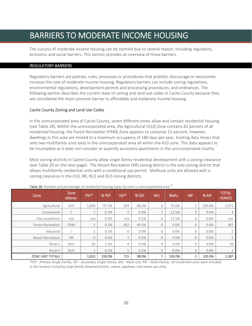## BARRIERS TO MODERATE INCOME HOUSING

The success of moderate income housing can be stymied due to several reason, including regulatory, economic and social barriers. This section provides an overview of those barriers.

## *REGULATORY BARRIERS*

Regulatory barriers are policies, rules, processes or procedures that prohibit, discourage or excessively increase the cost of moderate income housing. Regulatory barriers can include zoning regulations, environmental regulations, development permits and processing procedures, and ordinances. The following section describes the current state of zoning and land use codes in Cache County because they are considered the most common barrier to affordable and moderate income housing.

## Cache County Zoning and Land Use Codes

In the unincorporated area of Cache County, seven different zones allow and contain residential housing (see Table 28). Within the unincorporated area, the Agricultural (A10) Zone contains 82 percent of all residential housing; the Forest Recreation (FR40) Zone appears to comprise 15 percent, however, dwellings in this area are limited to a maximum occupancy of 180 days per year. Existing data shows that only two multifamily units exist in the unincorporated area all within the A10 zone. This data appears to be incomplete as it does not consider or quantify accessory apartments in the unincorporated county.

Most zoning districts in Cache County allow single family residential development with a zoning clearance (see Table 29 on the next page). The Resort Recreation (RR) zoning district is the only zoning district that allows multifamily residential units with a conditional use permit. Multiuse units are allowed with a zoning clearance in the A10, RR, RU2 and RU5 zoning districts.

| Zone                     | Zone<br>Abbrev. | PSF*           | % PSF   | SSF*     | % SSF | <b>MU</b>           | %MU     | <b>MF</b>      | % MF    | <b>TOTAL</b><br><b>HOMES</b> |
|--------------------------|-----------------|----------------|---------|----------|-------|---------------------|---------|----------------|---------|------------------------------|
| Agricultural             | A10             | 1,609          | 97.1%   | 354      | 48.2% | 6                   | 75.0%   | $\mathcal{D}$  | 100.0%  | 1,971                        |
| Commercial               | С               |                | 0.1%    | 2        | 0.3%  | $\overline{ }$<br>Τ | 12.5%   | $\overline{0}$ | 0.0%    | $\overline{4}$               |
| City Jurisdiction        | n/a             | n/a            | 0.2%    | n/a      | 0.1%  | 0                   | 12.5%   | 0              | $0.0\%$ | n/a                          |
| <b>Forest Recreation</b> | <b>FR40</b>     | 5              | 0.3%    | 362      | 49.3% | $\overline{0}$      | $0.0\%$ | 0              | 0.0%    | 367                          |
| Industrial               |                 | $\overline{2}$ | 0.1%    | $\Omega$ | 0.0%  | 0                   | $0.0\%$ | 0              | $0.0\%$ | $\overline{2}$               |
| <b>Resort Recreation</b> | <b>RR</b>       | $\mathcal{O}$  | $0.0\%$ | 2        | 0.3%  | $\circ$             | $0.0\%$ | 0              | 0.0%    | $\overline{2}$               |
| Rural 2                  | RU <sub>2</sub> | 35             | 2.1%    | 4        | 0.5%  | 0                   | $0.0\%$ | $\mathbf 0$    | $0.0\%$ | 39                           |
| Rural 5                  | RU5             |                | 0.1%    |          | 0.1%  | $\circ$             | $0.0\%$ | 0              | $0.0\%$ | $\overline{2}$               |
| ZONE UNIT TOTALS         |                 | 1,653          | 100.0%  | 725      | 98.9% | 7                   | 100.0%  | $\overline{2}$ | 100.0%  | 2,387                        |

Table 28. Number and percentage of residential housing types by zone in unincorporated area.<sup>27</sup>

*\*PSF ‐ Primary Single Family, SSF ‐ Secondary Single Family, MU ‐ Multi‐Use, MF ‐ Multi‐Family. All residential units were included in this analysis including singe family detached homes, cabins, duplexes, and mixed use units.*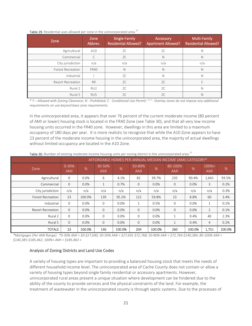| Zone                     | Zone<br>Abbrev. | Single-Family<br><b>Residential Allowed?</b> | Accessory<br><b>Apartment Allowed?</b> | Multi-Family<br><b>Residential Allowed?</b> |
|--------------------------|-----------------|----------------------------------------------|----------------------------------------|---------------------------------------------|
| Agricultural             | A10             | ZC                                           | ZC                                     | N                                           |
| Commercial               | C               | ZC                                           | N                                      | N                                           |
| City jurisdiction        | n/a             | n/a                                          | n/a                                    | n/a                                         |
| <b>Forest Recreation</b> | <b>FR40</b>     | N                                            | N                                      | N                                           |
| Industrial               |                 | ZC                                           | Ν                                      | N                                           |
| <b>Resort Recreation</b> | <b>RR</b>       | ZC                                           | ZC                                     |                                             |
| Rural 2                  | RU <sub>2</sub> | ZC.                                          | ZC                                     | N                                           |
| Rural 5                  | RU5             | ZC                                           | ZC                                     | N                                           |

Table 29. Residential uses allowed per zone in the unincorporated area.<sup>27</sup>

*\* Y – Allowed with Zoning Clearance; N ‐ Prohibited; C ‐ Conditional Use Permit; "‐" ‐ Overlay zones do not impose any additional requirements on use beyond base zone requirements.* 

In the unincorporated area, it appears that over 76 percent of the current moderate income (80 percent of AMI or lower) housing stock is located in the FR40 Zone (see Table 30), and that all very low income housing units occurred in the FR40 zone. However, dwellings in this area are limited to a maximum occupancy of 180 days per year. It is more realistic to recognize that while the A10 Zone appears to have 23 percent of the moderate income housing in the unincorporated area, the majority of actual dwellings without limited occupancy are located in the A10 Zone.

|                          |                         | AFFORDABLE HOMES PER ANNUAL MEDIAN INCOME (AMI) CATEGORY* |                      |        |                      |         |                       |         |                       |        |  |  |
|--------------------------|-------------------------|-----------------------------------------------------------|----------------------|--------|----------------------|---------|-----------------------|---------|-----------------------|--------|--|--|
| Zone                     | $0 - 30%$<br><b>AMI</b> | %                                                         | 30-50%<br><b>AMI</b> | %      | 50-80%<br><b>AMI</b> | %       | 80-100%<br><b>AMI</b> | %       | $100%+$<br><b>AMI</b> | %      |  |  |
| Agricultural             | $\mathbf{0}$            | 0.0%                                                      | 6                    | 4.1%   | 81                   | 39.7%   | 235                   | 90.4%   | 1,641                 | 93.5%  |  |  |
| Commercial               | $\mathbf{0}$            | 0.0%                                                      | $\mathbf{1}$         | 0.7%   | $\mathbf 0$          | 0.0%    | 0                     | 0.0%    | 3                     | 0.2%   |  |  |
| City jurisdiction        | n/a                     | n/a                                                       | n/a                  | n/a    | n/a                  | n/a     | n/a                   | n/a     | n/a                   | 0.3%   |  |  |
| <b>Forest Recreation</b> | 23                      | 100.0%                                                    | 139                  | 95.2%  | 122                  | 59.8%   | 23                    | 8.8%    | 60                    | 3.4%   |  |  |
| Industrial               | $\Omega$                | 0.0%                                                      | $\Omega$             | 0.0%   | $\mathbf{1}$         | 0.5%    | $\Omega$              | $0.0\%$ | $\mathbf{1}$          | 0.1%   |  |  |
| <b>Resort Recreation</b> | $\mathbf{0}$            | 0.0%                                                      | $\Omega$             | 0.0%   | $\mathbf 0$          | 0.0%    | $\mathbf 0$           | 0.0%    | 2                     | 0.1%   |  |  |
| Rural 2                  | $\mathbf 0$             | 0.0%                                                      | 0                    | 0.0%   | $\mathbf 0$          | $0.0\%$ | 1                     | 0.4%    | 40                    | 2.3%   |  |  |
| Rural 5                  | $\mathbf{0}$            | 0.0%                                                      | $\mathbf{0}$         | 0.0%   | $\mathbf 0$          | 0.0%    | 1                     | 0.4%    | 4                     | 0.2%   |  |  |
| <b>TOTALS</b>            | 23                      | 100.0%                                                    | 146                  | 100.0% | 204                  | 100.0%  | 260                   | 100.0%  | 1,751                 | 100.0% |  |  |

Table 30. Number of existing moderate income housing units per zoning district in the unincorporated area.<sup>27</sup>

*\*Mortgages (Per AMI Range): \*0‐30% AMI = \$0‐\$27,690; 30‐50% AMI = \$27,691‐\$72,768; 50‐80% AMI = \$72,769‐\$140,384; 80‐100% AMI = \$140,385‐\$185,462; 100%+ AMI = \$185,463 +*

#### Analysis of Zoning Districts and Land Use Codes

A variety of housing types are important to providing a balanced housing stock that meets the needs of different household income level. The unincorporated area of Cache County does not contain or allow a variety of housing types beyond single family residential or accessory apartments. However, unincorporated rural areas present a unique situation where development can be hindered due to the ability of the county to provide services and the physical constraints of the land. For example, the treatment of wastewater in the unincorporated county is through septic systems. Due to the processes of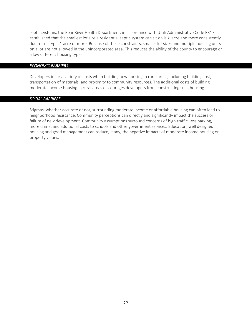septic systems, the Bear River Health Department, in accordance with Utah Administrative Code R317, established that the smallest lot size a residential septic system can sit on is ½ acre and more consistently due to soil type, 1 acre or more. Because of these constraints, smaller lot sizes and multiple housing units on a lot are not allowed in the unincorporated area. This reduces the ability of the county to encourage or allow different housing types.

### *ECONOMIC BARRIERS*

Developers incur a variety of costs when building new housing in rural areas, including building cost, transportation of materials, and proximity to community resources. The additional costs of building moderate income housing in rural areas discourages developers from constructing such housing.

#### *SOCIAL BARRIERS*

Stigmas, whether accurate or not, surrounding moderate income or affordable housing can often lead to neighborhood resistance. Community perceptions can directly and significantly impact the success or failure of new development. Community assumptions surround concerns of high traffic, less parking, more crime, and additional costs to schools and other government services. Education, well designed housing and good management can reduce, if any, the negative impacts of moderate income housing on property values.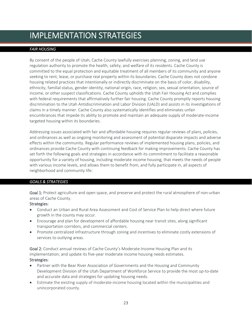## IMPLEMENTATION STRATEGIES

## *FAIR HOUSING*

By consent of the people of Utah, Cache County lawfully exercises planning, zoning, and land use regulation authority to promote the health, safety, and welfare of its residents. Cache County is committed to the equal protection and equitable treatment of all members of its community and anyone seeking to rent, lease, or purchase real property within its boundaries. Cache County does not condone housing related practices that intentionally or indirectly discriminate on the basis of color, disability, ethnicity, familial status, gender identity, national origin, race, religion, sex, sexual orientation, source of income, or other suspect classifications. Cache County upholds the Utah Fair Housing Act and complies with federal requirements that affirmatively further fair housing. Cache County promptly reports housing discrimination to the Utah Antidiscrimination and Labor Division (UALD) and assists in its investigations of claims in a timely manner. Cache County also systematically identifies and eliminates unfair encumbrances that impede its ability to promote and maintain an adequate supply of moderate‐income targeted housing within its boundaries.

Addressing issues associated with fair and affordable housing requires regular reviews of plans, policies, and ordinances as well as ongoing monitoring and assessment of potential disparate impacts and adverse effects within the community. Regular performance reviews of implemented housing plans, policies, and ordinances provide Cache County with continuing feedback for making improvements. Cache County has set forth the following goals and strategies in accordance with its commitment to facilitate a reasonable opportunity for a variety of housing, including moderate income housing, that meets the needs of people with various income levels, and allows them to benefit from, and fully participate in, all aspects of neighborhood and community life:

## *GOALS & STRATEGIES*

Goal 1: Protect agriculture and open space, and preserve and protect the rural atmosphere of non-urban areas of Cache County.

## Strategies:

- Conduct an Urban and Rural Area Assessment and Cost of Service Plan to help direct where future growth in the county may occur.
- Encourage and plan for development of affordable housing near transit sites, along significant transportation corridors, and commercial centers.
- Promote centralized infrastructure through zoning and incentives to eliminate costly extensions of services to outlying areas.

Goal 2: Conduct annual reviews of Cache County's Moderate-Income Housing Plan and its implementation; and update its five-year moderate income housing needs estimates. Strategies:

- Partner with the Bear River Association of Governments and the Housing and Community Development Division of the Utah Department of Workforce Service to provide the most up‐to‐date and accurate data and strategies for updating housing needs.
- Estimate the existing supply of moderate‐income housing located within the municipalities and unincorporated county.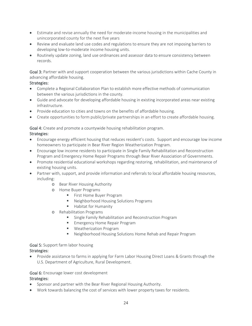- Estimate and revise annually the need for moderate-income housing in the municipalities and unincorporated county for the next five years
- Review and evaluate land use codes and regulations to ensure they are not imposing barriers to developing low‐to‐moderate income housing units.
- Routinely update zoning, land use ordinances and assessor data to ensure consistency between records.

Goal 3: Partner with and support cooperation between the various jurisdictions within Cache County in advancing affordable housing.

## Strategies:

- Complete a Regional Collaboration Plan to establish more effective methods of communication between the various jurisdictions in the county.
- Guide and advocate for developing affordable housing in existing incorporated areas near existing infrastructure.
- Provide education to cities and towns on the benefits of affordable housing.
- Create opportunities to form public/private partnerships in an effort to create affordable housing.

## Goal 4: Create and promote a countywide housing rehabilitation program. Strategies:

- Encourage energy efficient housing that reduces resident's costs. Support and encourage low income homeowners to participate in Bear River Region Weatherization Program.
- Encourage low income residents to participate in Single Family Rehabilitation and Reconstruction Program and Emergency Home Repair Programs through Bear River Association of Governments.
- Promote residential educational workshops regarding restoring, rehabilitation, and maintenance of existing housing units.
- Partner with, support, and provide information and referrals to local affordable housing resources, including:
	- o Bear River Housing Authority
	- o Home Buyer Programs
		- **First Home Buyer Program**
		- Neighborhood Housing Solutions Programs
		- **Habitat for Humanity**
	- o Rehabilitation Programs
		- **EXECT:** Single Family Rehabilitation and Reconstruction Program
		- **Emergency Home Repair Program**
		- Weatherization Program
		- Neighborhood Housing Solutions Home Rehab and Repair Program

## Goal 5: Support farm labor housing

## Strategies:

 Provide assistance to farms in applying for Farm Labor Housing Direct Loans & Grants through the U.S. Department of Agriculture, Rural Development.

## Goal 6: Encourage lower cost development

## Strategies:

- Sponsor and partner with the Bear River Regional Housing Authority.
- Work towards balancing the cost of services with lower property taxes for residents.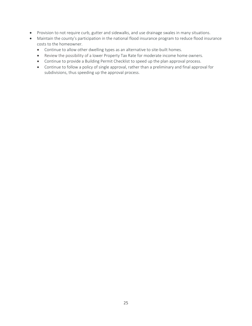- Provision to not require curb, gutter and sidewalks, and use drainage swales in many situations.
- Maintain the county's participation in the national flood insurance program to reduce flood insurance costs to the homeowner.
	- Continue to allow other dwelling types as an alternative to site-built homes.
	- Review the possibility of a lower Property Tax Rate for moderate income home owners.
	- Continue to provide a Building Permit Checklist to speed up the plan approval process.
	- Continue to follow a policy of single approval, rather than a preliminary and final approval for subdivisions, thus speeding up the approval process.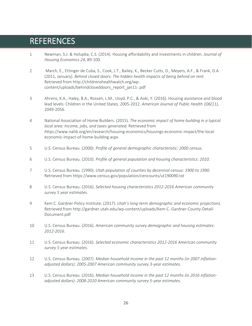## REFERENCES

- 1 Newman, S.J. & Holupka, C.S. (2014). Housing affordability and investments in children. *Journal of Housing Economics 24*, 89‐100.
- 2 March, E., Ettinger de Cuba, S., Cook, J.T., Bailey, K., Becker Cutts, D., Meyers, A.F., & Frank, D.A. (2011, January). *Behind closed doors: The hidden health impacts of being behind on rent*. Retrieved from http://childrenshealthwatch.org/wp‐ content/uploads/behindcloseddoors\_report\_jan11‐.pdf
- 3 Ahrens, K.A., Haley, B.A., Rossen, L.M., Lloyd, P.C., & Aoki, Y. (2016). Housing assistance and blood lead levels: Children in the United States, 2005‐2012. *American Journal of Public Health 106(11)*, 2049‐2056.
- 4 National Association of Home Builders. (2015). *The economic impact of home building in a typical local area: Income, jobs, and taxes generated.* Retrieved from *h*ttps://www.nahb.org/en/research/housing‐economics/housings‐economic‐impact/the‐local‐ economic‐impact‐of‐home‐building.aspx
- 5 U.S. Census Bureau. (2000). *Profile of general demographic characteristic: 2000 census*.
- 6 U.S. Census Bureau. (2010). *Profile of general population and housing characteristics: 2010*.
- 7 U.S. Census Bureau. (1990). *Utah population of counties by decennial census: 1900 to 1990*. Retrieved from https://www.census.gov/population/cencounts/ut190090.txt
- 8 U.S. Census Bureau. (2016). *Selected housing characteristics 2012‐2016 American community survey 5 year estimates.*
- 9 Kem C. Gardner Policy Institute. (2017). *Utah's long‐term demographic and economic projections*. Retrieved from http://gardner.utah.edu/wp‐content/uploads/Kem‐C.‐Gardner‐County‐Detail‐ Document.pdf
- 10 U.S. Census Bureau. (2016). *American community survey demographic and housing estimates: 2012‐2016*.
- 11 U.S. Census Bureau. (2016). *Selected economic characteristics 2012‐2016 American community survey 5 year estimates.*
- 12 U.S. Census Bureau. (2007). *Median household income in the past 12 months (in 2007 inflation‐ adjusted dollars): 2005‐2007 American community survey 3‐year estimates*.
- 13 U.S. Census Bureau. (2016). *Median household income in the past 12 months (in 2016 inflation‐ adjusted dollars): 2008‐2010 American community survey 5‐year estimates*.